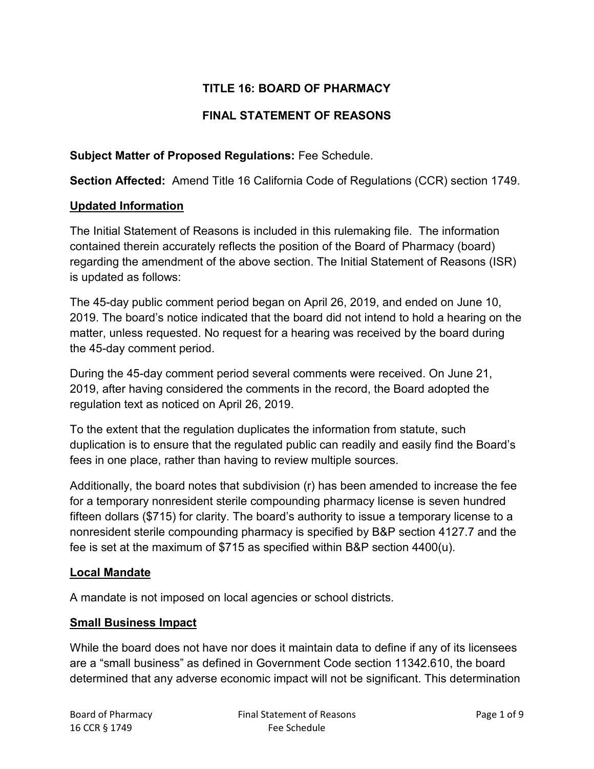# **TITLE 16: BOARD OF PHARMACY**

#### **FINAL STATEMENT OF REASONS**

#### **Subject Matter of Proposed Regulations:** Fee Schedule.

**Section Affected:** Amend Title 16 California Code of Regulations (CCR) section 1749.

#### **Updated Information**

The Initial Statement of Reasons is included in this rulemaking file. The information contained therein accurately reflects the position of the Board of Pharmacy (board) regarding the amendment of the above section. The Initial Statement of Reasons (ISR) is updated as follows:

The 45-day public comment period began on April 26, 2019, and ended on June 10, 2019. The board's notice indicated that the board did not intend to hold a hearing on the matter, unless requested. No request for a hearing was received by the board during the 45-day comment period.

During the 45-day comment period several comments were received. On June 21, 2019, after having considered the comments in the record, the Board adopted the regulation text as noticed on April 26, 2019.

To the extent that the regulation duplicates the information from statute, such duplication is to ensure that the regulated public can readily and easily find the Board's fees in one place, rather than having to review multiple sources.

Additionally, the board notes that subdivision (r) has been amended to increase the fee for a temporary nonresident sterile compounding pharmacy license is seven hundred fifteen dollars (\$715) for clarity. The board's authority to issue a temporary license to a nonresident sterile compounding pharmacy is specified by B&P section 4127.7 and the fee is set at the maximum of \$715 as specified within B&P section 4400(u).

#### **Local Mandate**

A mandate is not imposed on local agencies or school districts.

#### **Small Business Impact**

While the board does not have nor does it maintain data to define if any of its licensees are a "small business" as defined in Government Code section 11342.610, the board determined that any adverse economic impact will not be significant. This determination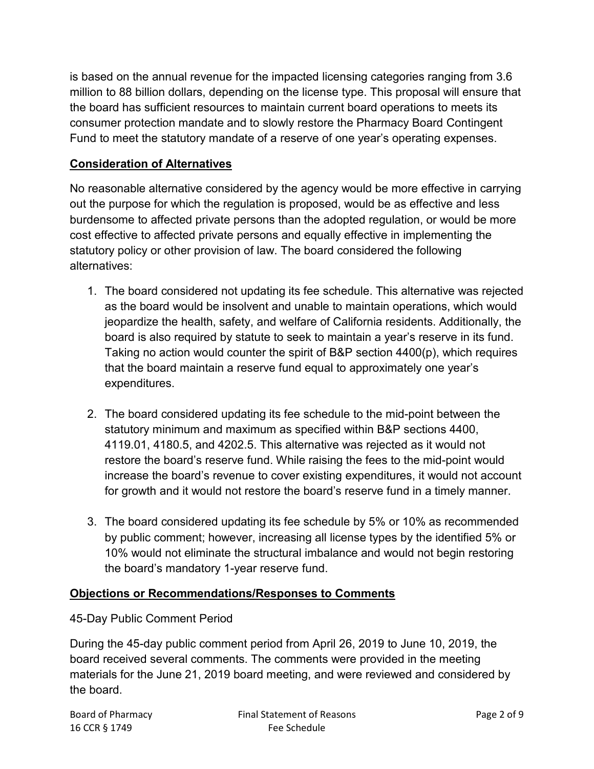is based on the annual revenue for the impacted licensing categories ranging from 3.6 million to 88 billion dollars, depending on the license type. This proposal will ensure that the board has sufficient resources to maintain current board operations to meets its consumer protection mandate and to slowly restore the Pharmacy Board Contingent Fund to meet the statutory mandate of a reserve of one year's operating expenses.

## **Consideration of Alternatives**

No reasonable alternative considered by the agency would be more effective in carrying out the purpose for which the regulation is proposed, would be as effective and less burdensome to affected private persons than the adopted regulation, or would be more cost effective to affected private persons and equally effective in implementing the statutory policy or other provision of law. The board considered the following alternatives:

- 1. The board considered not updating its fee schedule. This alternative was rejected as the board would be insolvent and unable to maintain operations, which would jeopardize the health, safety, and welfare of California residents. Additionally, the board is also required by statute to seek to maintain a year's reserve in its fund. Taking no action would counter the spirit of B&P section 4400(p), which requires that the board maintain a reserve fund equal to approximately one year's expenditures.
- 2. The board considered updating its fee schedule to the mid-point between the statutory minimum and maximum as specified within B&P sections 4400, 4119.01, 4180.5, and 4202.5. This alternative was rejected as it would not restore the board's reserve fund. While raising the fees to the mid-point would increase the board's revenue to cover existing expenditures, it would not account for growth and it would not restore the board's reserve fund in a timely manner.
- 3. The board considered updating its fee schedule by 5% or 10% as recommended by public comment; however, increasing all license types by the identified 5% or 10% would not eliminate the structural imbalance and would not begin restoring the board's mandatory 1-year reserve fund.

## **Objections or Recommendations/Responses to Comments**

#### 45-Day Public Comment Period

During the 45-day public comment period from April 26, 2019 to June 10, 2019, the board received several comments. The comments were provided in the meeting materials for the June 21, 2019 board meeting, and were reviewed and considered by the board.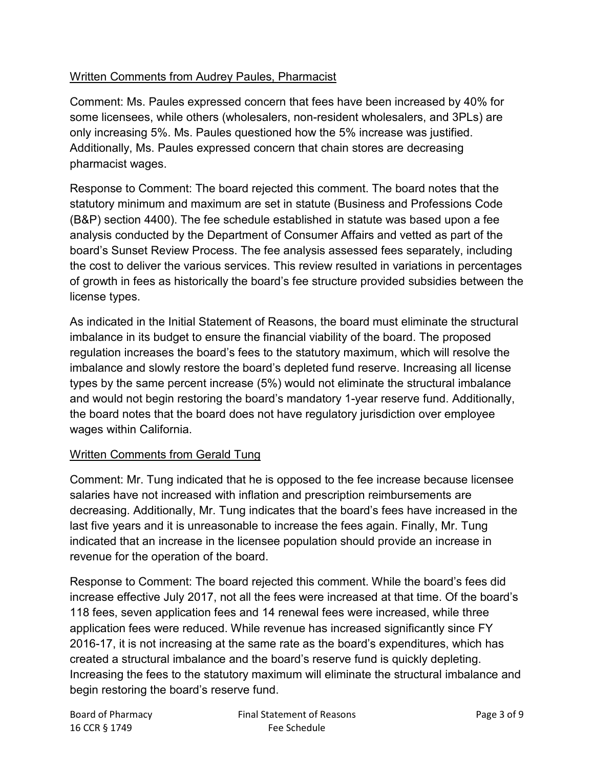## Written Comments from Audrey Paules, Pharmacist

Comment: Ms. Paules expressed concern that fees have been increased by 40% for some licensees, while others (wholesalers, non-resident wholesalers, and 3PLs) are only increasing 5%. Ms. Paules questioned how the 5% increase was justified. Additionally, Ms. Paules expressed concern that chain stores are decreasing pharmacist wages.

Response to Comment: The board rejected this comment. The board notes that the statutory minimum and maximum are set in statute (Business and Professions Code (B&P) section 4400). The fee schedule established in statute was based upon a fee analysis conducted by the Department of Consumer Affairs and vetted as part of the board's Sunset Review Process. The fee analysis assessed fees separately, including the cost to deliver the various services. This review resulted in variations in percentages of growth in fees as historically the board's fee structure provided subsidies between the license types.

As indicated in the Initial Statement of Reasons, the board must eliminate the structural imbalance in its budget to ensure the financial viability of the board. The proposed regulation increases the board's fees to the statutory maximum, which will resolve the imbalance and slowly restore the board's depleted fund reserve. Increasing all license types by the same percent increase (5%) would not eliminate the structural imbalance and would not begin restoring the board's mandatory 1-year reserve fund. Additionally, the board notes that the board does not have regulatory jurisdiction over employee wages within California.

## Written Comments from Gerald Tung

Comment: Mr. Tung indicated that he is opposed to the fee increase because licensee salaries have not increased with inflation and prescription reimbursements are decreasing. Additionally, Mr. Tung indicates that the board's fees have increased in the last five years and it is unreasonable to increase the fees again. Finally, Mr. Tung indicated that an increase in the licensee population should provide an increase in revenue for the operation of the board.

Response to Comment: The board rejected this comment. While the board's fees did increase effective July 2017, not all the fees were increased at that time. Of the board's 118 fees, seven application fees and 14 renewal fees were increased, while three application fees were reduced. While revenue has increased significantly since FY 2016-17, it is not increasing at the same rate as the board's expenditures, which has created a structural imbalance and the board's reserve fund is quickly depleting. Increasing the fees to the statutory maximum will eliminate the structural imbalance and begin restoring the board's reserve fund.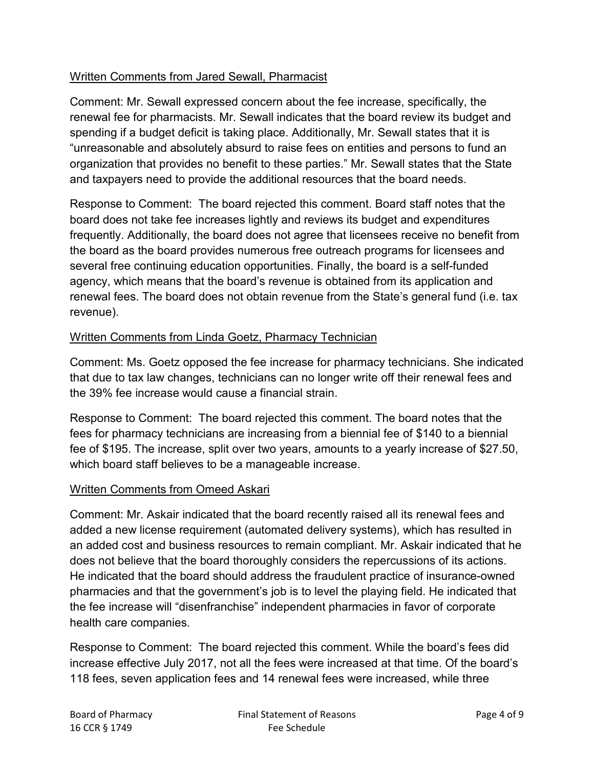## Written Comments from Jared Sewall, Pharmacist

Comment: Mr. Sewall expressed concern about the fee increase, specifically, the renewal fee for pharmacists. Mr. Sewall indicates that the board review its budget and spending if a budget deficit is taking place. Additionally, Mr. Sewall states that it is "unreasonable and absolutely absurd to raise fees on entities and persons to fund an organization that provides no benefit to these parties." Mr. Sewall states that the State and taxpayers need to provide the additional resources that the board needs.

Response to Comment: The board rejected this comment. Board staff notes that the board does not take fee increases lightly and reviews its budget and expenditures frequently. Additionally, the board does not agree that licensees receive no benefit from the board as the board provides numerous free outreach programs for licensees and several free continuing education opportunities. Finally, the board is a self-funded agency, which means that the board's revenue is obtained from its application and renewal fees. The board does not obtain revenue from the State's general fund (i.e. tax revenue).

## Written Comments from Linda Goetz, Pharmacy Technician

Comment: Ms. Goetz opposed the fee increase for pharmacy technicians. She indicated that due to tax law changes, technicians can no longer write off their renewal fees and the 39% fee increase would cause a financial strain.

Response to Comment: The board rejected this comment. The board notes that the fees for pharmacy technicians are increasing from a biennial fee of \$140 to a biennial fee of \$195. The increase, split over two years, amounts to a yearly increase of \$27.50, which board staff believes to be a manageable increase.

## Written Comments from Omeed Askari

Comment: Mr. Askair indicated that the board recently raised all its renewal fees and added a new license requirement (automated delivery systems), which has resulted in an added cost and business resources to remain compliant. Mr. Askair indicated that he does not believe that the board thoroughly considers the repercussions of its actions. He indicated that the board should address the fraudulent practice of insurance-owned pharmacies and that the government's job is to level the playing field. He indicated that the fee increase will "disenfranchise" independent pharmacies in favor of corporate health care companies.

Response to Comment: The board rejected this comment. While the board's fees did increase effective July 2017, not all the fees were increased at that time. Of the board's 118 fees, seven application fees and 14 renewal fees were increased, while three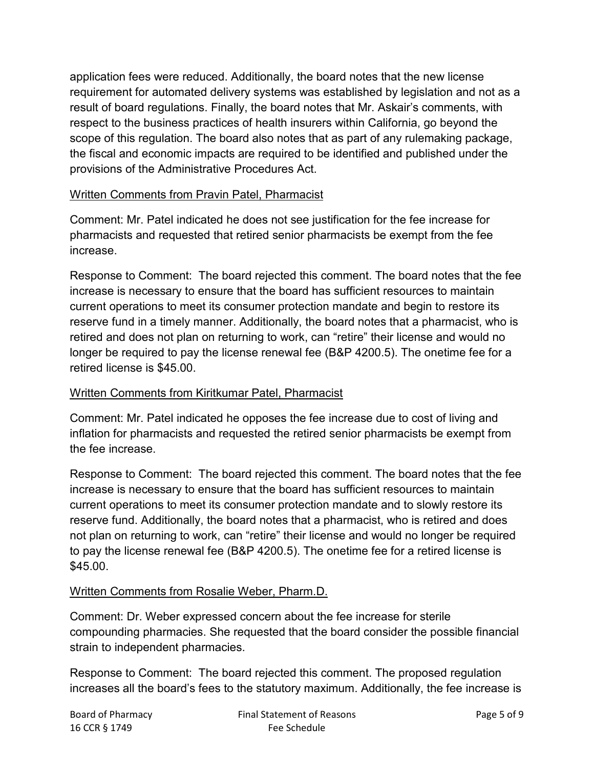application fees were reduced. Additionally, the board notes that the new license requirement for automated delivery systems was established by legislation and not as a result of board regulations. Finally, the board notes that Mr. Askair's comments, with respect to the business practices of health insurers within California, go beyond the scope of this regulation. The board also notes that as part of any rulemaking package, the fiscal and economic impacts are required to be identified and published under the provisions of the Administrative Procedures Act.

### Written Comments from Pravin Patel, Pharmacist

Comment: Mr. Patel indicated he does not see justification for the fee increase for pharmacists and requested that retired senior pharmacists be exempt from the fee increase.

Response to Comment: The board rejected this comment. The board notes that the fee increase is necessary to ensure that the board has sufficient resources to maintain current operations to meet its consumer protection mandate and begin to restore its reserve fund in a timely manner. Additionally, the board notes that a pharmacist, who is retired and does not plan on returning to work, can "retire" their license and would no longer be required to pay the license renewal fee (B&P 4200.5). The onetime fee for a retired license is \$45.00.

## Written Comments from Kiritkumar Patel, Pharmacist

Comment: Mr. Patel indicated he opposes the fee increase due to cost of living and inflation for pharmacists and requested the retired senior pharmacists be exempt from the fee increase.

Response to Comment: The board rejected this comment. The board notes that the fee increase is necessary to ensure that the board has sufficient resources to maintain current operations to meet its consumer protection mandate and to slowly restore its reserve fund. Additionally, the board notes that a pharmacist, who is retired and does not plan on returning to work, can "retire" their license and would no longer be required to pay the license renewal fee (B&P 4200.5). The onetime fee for a retired license is \$45.00.

#### Written Comments from Rosalie Weber, Pharm.D.

Comment: Dr. Weber expressed concern about the fee increase for sterile compounding pharmacies. She requested that the board consider the possible financial strain to independent pharmacies.

Response to Comment: The board rejected this comment. The proposed regulation increases all the board's fees to the statutory maximum. Additionally, the fee increase is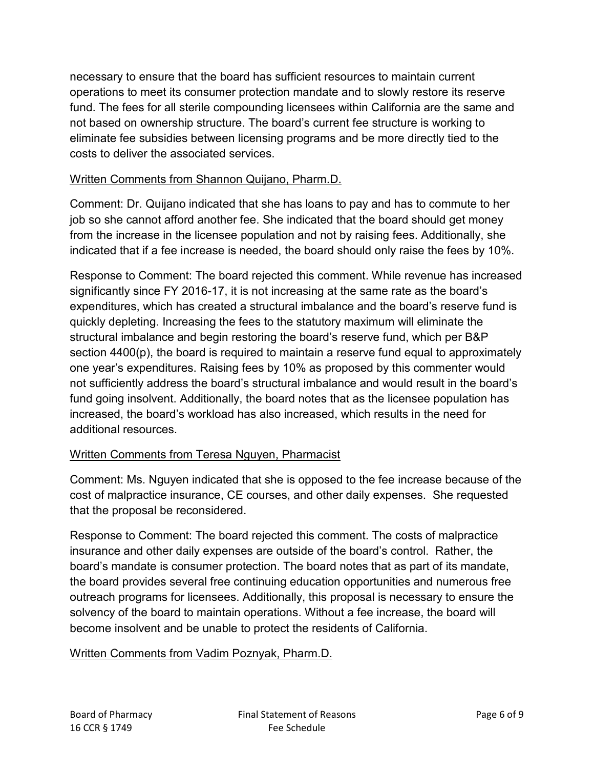necessary to ensure that the board has sufficient resources to maintain current operations to meet its consumer protection mandate and to slowly restore its reserve fund. The fees for all sterile compounding licensees within California are the same and not based on ownership structure. The board's current fee structure is working to eliminate fee subsidies between licensing programs and be more directly tied to the costs to deliver the associated services.

# Written Comments from Shannon Quijano, Pharm.D.

Comment: Dr. Quijano indicated that she has loans to pay and has to commute to her job so she cannot afford another fee. She indicated that the board should get money from the increase in the licensee population and not by raising fees. Additionally, she indicated that if a fee increase is needed, the board should only raise the fees by 10%.

Response to Comment: The board rejected this comment. While revenue has increased significantly since FY 2016-17, it is not increasing at the same rate as the board's expenditures, which has created a structural imbalance and the board's reserve fund is quickly depleting. Increasing the fees to the statutory maximum will eliminate the structural imbalance and begin restoring the board's reserve fund, which per B&P section 4400(p), the board is required to maintain a reserve fund equal to approximately one year's expenditures. Raising fees by 10% as proposed by this commenter would not sufficiently address the board's structural imbalance and would result in the board's fund going insolvent. Additionally, the board notes that as the licensee population has increased, the board's workload has also increased, which results in the need for additional resources.

## Written Comments from Teresa Nguyen, Pharmacist

Comment: Ms. Nguyen indicated that she is opposed to the fee increase because of the cost of malpractice insurance, CE courses, and other daily expenses. She requested that the proposal be reconsidered.

Response to Comment: The board rejected this comment. The costs of malpractice insurance and other daily expenses are outside of the board's control. Rather, the board's mandate is consumer protection. The board notes that as part of its mandate, the board provides several free continuing education opportunities and numerous free outreach programs for licensees. Additionally, this proposal is necessary to ensure the solvency of the board to maintain operations. Without a fee increase, the board will become insolvent and be unable to protect the residents of California.

# Written Comments from Vadim Poznyak, Pharm.D.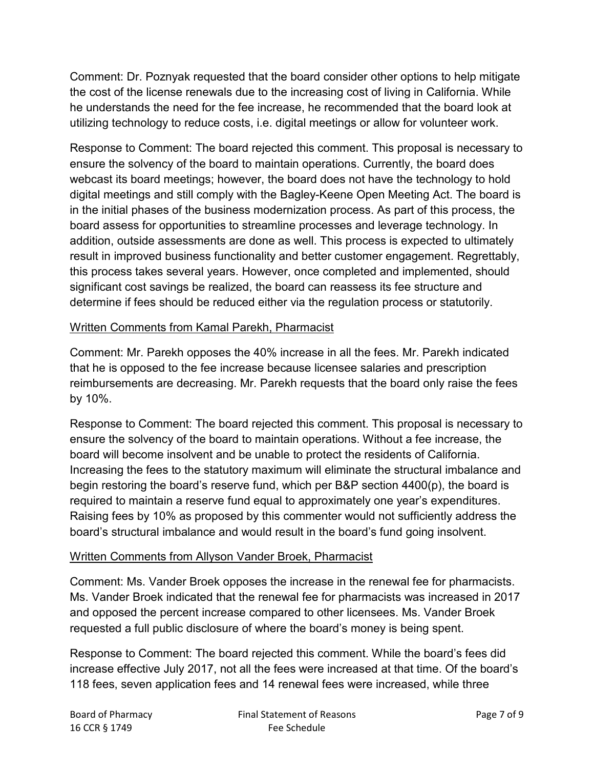Comment: Dr. Poznyak requested that the board consider other options to help mitigate the cost of the license renewals due to the increasing cost of living in California. While he understands the need for the fee increase, he recommended that the board look at utilizing technology to reduce costs, i.e. digital meetings or allow for volunteer work.

Response to Comment: The board rejected this comment. This proposal is necessary to ensure the solvency of the board to maintain operations. Currently, the board does webcast its board meetings; however, the board does not have the technology to hold digital meetings and still comply with the Bagley-Keene Open Meeting Act. The board is in the initial phases of the business modernization process. As part of this process, the board assess for opportunities to streamline processes and leverage technology. In addition, outside assessments are done as well. This process is expected to ultimately result in improved business functionality and better customer engagement. Regrettably, this process takes several years. However, once completed and implemented, should significant cost savings be realized, the board can reassess its fee structure and determine if fees should be reduced either via the regulation process or statutorily.

## Written Comments from Kamal Parekh, Pharmacist

Comment: Mr. Parekh opposes the 40% increase in all the fees. Mr. Parekh indicated that he is opposed to the fee increase because licensee salaries and prescription reimbursements are decreasing. Mr. Parekh requests that the board only raise the fees by 10%.

Response to Comment: The board rejected this comment. This proposal is necessary to ensure the solvency of the board to maintain operations. Without a fee increase, the board will become insolvent and be unable to protect the residents of California. Increasing the fees to the statutory maximum will eliminate the structural imbalance and begin restoring the board's reserve fund, which per B&P section 4400(p), the board is required to maintain a reserve fund equal to approximately one year's expenditures. Raising fees by 10% as proposed by this commenter would not sufficiently address the board's structural imbalance and would result in the board's fund going insolvent.

## Written Comments from Allyson Vander Broek, Pharmacist

Comment: Ms. Vander Broek opposes the increase in the renewal fee for pharmacists. Ms. Vander Broek indicated that the renewal fee for pharmacists was increased in 2017 and opposed the percent increase compared to other licensees. Ms. Vander Broek requested a full public disclosure of where the board's money is being spent.

Response to Comment: The board rejected this comment. While the board's fees did increase effective July 2017, not all the fees were increased at that time. Of the board's 118 fees, seven application fees and 14 renewal fees were increased, while three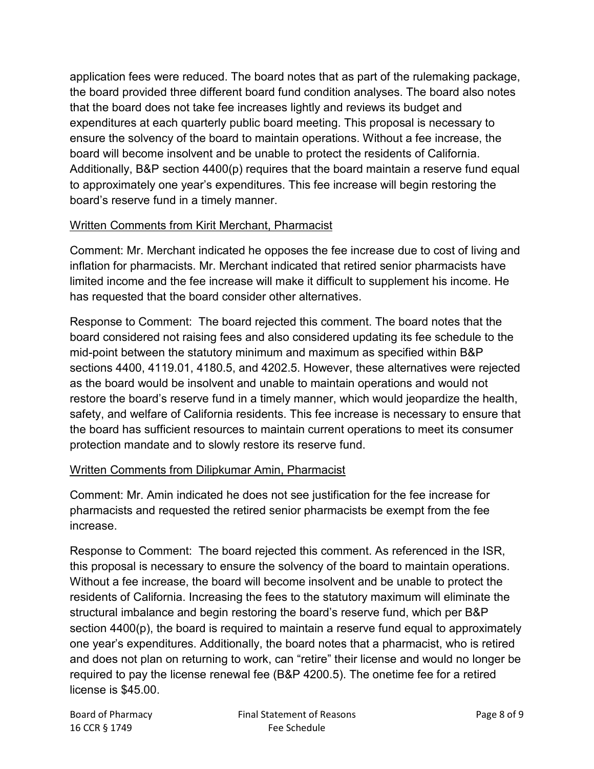application fees were reduced. The board notes that as part of the rulemaking package, the board provided three different board fund condition analyses. The board also notes that the board does not take fee increases lightly and reviews its budget and expenditures at each quarterly public board meeting. This proposal is necessary to ensure the solvency of the board to maintain operations. Without a fee increase, the board will become insolvent and be unable to protect the residents of California. Additionally, B&P section 4400(p) requires that the board maintain a reserve fund equal to approximately one year's expenditures. This fee increase will begin restoring the board's reserve fund in a timely manner.

## Written Comments from Kirit Merchant, Pharmacist

Comment: Mr. Merchant indicated he opposes the fee increase due to cost of living and inflation for pharmacists. Mr. Merchant indicated that retired senior pharmacists have limited income and the fee increase will make it difficult to supplement his income. He has requested that the board consider other alternatives.

Response to Comment: The board rejected this comment. The board notes that the board considered not raising fees and also considered updating its fee schedule to the mid-point between the statutory minimum and maximum as specified within B&P sections 4400, 4119.01, 4180.5, and 4202.5. However, these alternatives were rejected as the board would be insolvent and unable to maintain operations and would not restore the board's reserve fund in a timely manner, which would jeopardize the health, safety, and welfare of California residents. This fee increase is necessary to ensure that the board has sufficient resources to maintain current operations to meet its consumer protection mandate and to slowly restore its reserve fund.

# Written Comments from Dilipkumar Amin, Pharmacist

Comment: Mr. Amin indicated he does not see justification for the fee increase for pharmacists and requested the retired senior pharmacists be exempt from the fee increase.

Response to Comment: The board rejected this comment. As referenced in the ISR, this proposal is necessary to ensure the solvency of the board to maintain operations. Without a fee increase, the board will become insolvent and be unable to protect the residents of California. Increasing the fees to the statutory maximum will eliminate the structural imbalance and begin restoring the board's reserve fund, which per B&P section 4400(p), the board is required to maintain a reserve fund equal to approximately one year's expenditures. Additionally, the board notes that a pharmacist, who is retired and does not plan on returning to work, can "retire" their license and would no longer be required to pay the license renewal fee (B&P 4200.5). The onetime fee for a retired license is \$45.00.